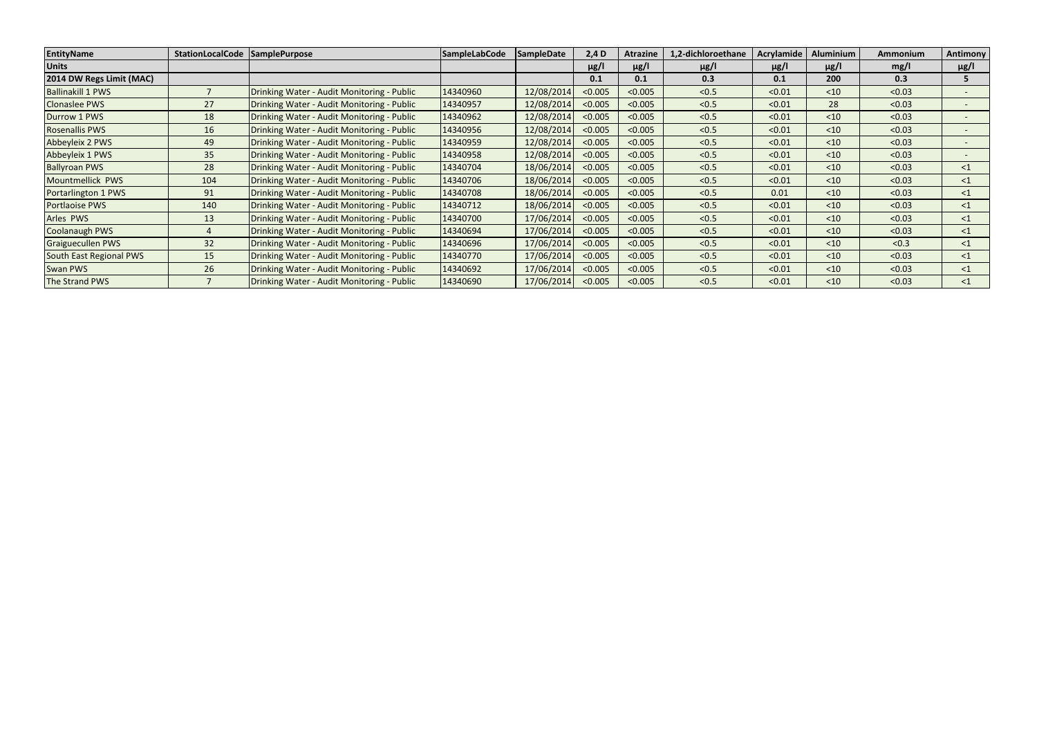| <b>EntityName</b>        | StationLocalCode   SamplePurpose |                                            | SampleLabCode | <b>SampleDate</b> | $2,4$ D   | <b>Atrazine</b> | .2-dichloroethane | Acrylamide | <b>Aluminium</b> | Ammonium | <b>Antimony</b>          |
|--------------------------|----------------------------------|--------------------------------------------|---------------|-------------------|-----------|-----------------|-------------------|------------|------------------|----------|--------------------------|
| <b>Units</b>             |                                  |                                            |               |                   | $\mu$ g/l | $\mu$ g/l       | $\mu$ g/l         | $\mu$ g/l  | $\mu$ g/l        | mg/l     | $\mu$ g/l                |
| 2014 DW Regs Limit (MAC) |                                  |                                            |               |                   | 0.1       | 0.1             | 0.3               | 0.1        | 200              | 0.3      | 5.                       |
| <b>Ballinakill 1 PWS</b> |                                  | Drinking Water - Audit Monitoring - Public | 14340960      | 12/08/2014        | < 0.005   | < 0.005         | < 0.5             | < 0.01     | < 10             | < 0.03   | $\overline{\phantom{0}}$ |
| <b>Clonaslee PWS</b>     | 27                               | Drinking Water - Audit Monitoring - Public | 14340957      | 12/08/2014        | < 0.005   | < 0.005         | < 0.5             | < 0.01     | 28               | < 0.03   | $\overline{\phantom{a}}$ |
| Durrow 1 PWS             | 18                               | Drinking Water - Audit Monitoring - Public | 14340962      | 12/08/2014        | < 0.005   | < 0.005         | < 0.5             | < 0.01     | < 10             | < 0.03   |                          |
| <b>Rosenallis PWS</b>    | 16                               | Drinking Water - Audit Monitoring - Public | 14340956      | 12/08/2014        | < 0.005   | < 0.005         | < 0.5             | < 0.01     | < 10             | < 0.03   | $\overline{\phantom{0}}$ |
| Abbeyleix 2 PWS          | 49                               | Drinking Water - Audit Monitoring - Public | 14340959      | 12/08/2014        | < 0.005   | < 0.005         | < 0.5             | < 0.01     | < 10             | < 0.03   |                          |
| Abbeyleix 1 PWS          | 35                               | Drinking Water - Audit Monitoring - Public | 14340958      | 12/08/2014        | < 0.005   | < 0.005         | < 0.5             | < 0.01     | $<$ 10           | < 0.03   |                          |
| <b>Ballyroan PWS</b>     | 28                               | Drinking Water - Audit Monitoring - Public | 14340704      | 18/06/2014        | < 0.005   | < 0.005         | < 0.5             | < 0.01     | < 10             | < 0.03   | $\leq$ 1                 |
| Mountmellick PWS         | 104                              | Drinking Water - Audit Monitoring - Public | 14340706      | 18/06/2014        | < 0.005   | < 0.005         | < 0.5             | < 0.01     | < 10             | < 0.03   | $\leq$ 1                 |
| Portarlington 1 PWS      | 91                               | Drinking Water - Audit Monitoring - Public | 14340708      | 18/06/2014        | < 0.005   | < 0.005         | < 0.5             | 0.01       | < 10             | < 0.03   | $\leq$ 1                 |
| <b>Portlaoise PWS</b>    | 140                              | Drinking Water - Audit Monitoring - Public | 14340712      | 18/06/2014        | < 0.005   | < 0.005         | < 0.5             | < 0.01     | < 10             | < 0.03   | $\leq 1$                 |
| Arles PWS                | 13                               | Drinking Water - Audit Monitoring - Public | 14340700      | 17/06/2014        | < 0.005   | < 0.005         | < 0.5             | < 0.01     | < 10             | < 0.03   | $<$ 1                    |
| Coolanaugh PWS           | 4                                | Drinking Water - Audit Monitoring - Public | 14340694      | 17/06/2014        | < 0.005   | < 0.005         | < 0.5             | < 0.01     | < 10             | < 0.03   | $\leq 1$                 |
| <b>Graiguecullen PWS</b> | 32                               | Drinking Water - Audit Monitoring - Public | 14340696      | 17/06/2014        | < 0.005   | < 0.005         | < 0.5             | < 0.01     | < 10             | < 0.3    | $\leq 1$                 |
| South East Regional PWS  | 15                               | Drinking Water - Audit Monitoring - Public | 14340770      | 17/06/2014        | < 0.005   | < 0.005         | < 0.5             | < 0.01     | < 10             | < 0.03   | $\leq 1$                 |
| Swan PWS                 | 26                               | Drinking Water - Audit Monitoring - Public | 14340692      | 17/06/2014        | < 0.005   | < 0.005         | < 0.5             | < 0.01     | < 10             | < 0.03   | $\leq 1$                 |
| The Strand PWS           |                                  | Drinking Water - Audit Monitoring - Public | 14340690      | 17/06/2014        | < 0.005   | < 0.005         | < 0.5             | < 0.01     | < 10             | < 0.03   | $\leq 1$                 |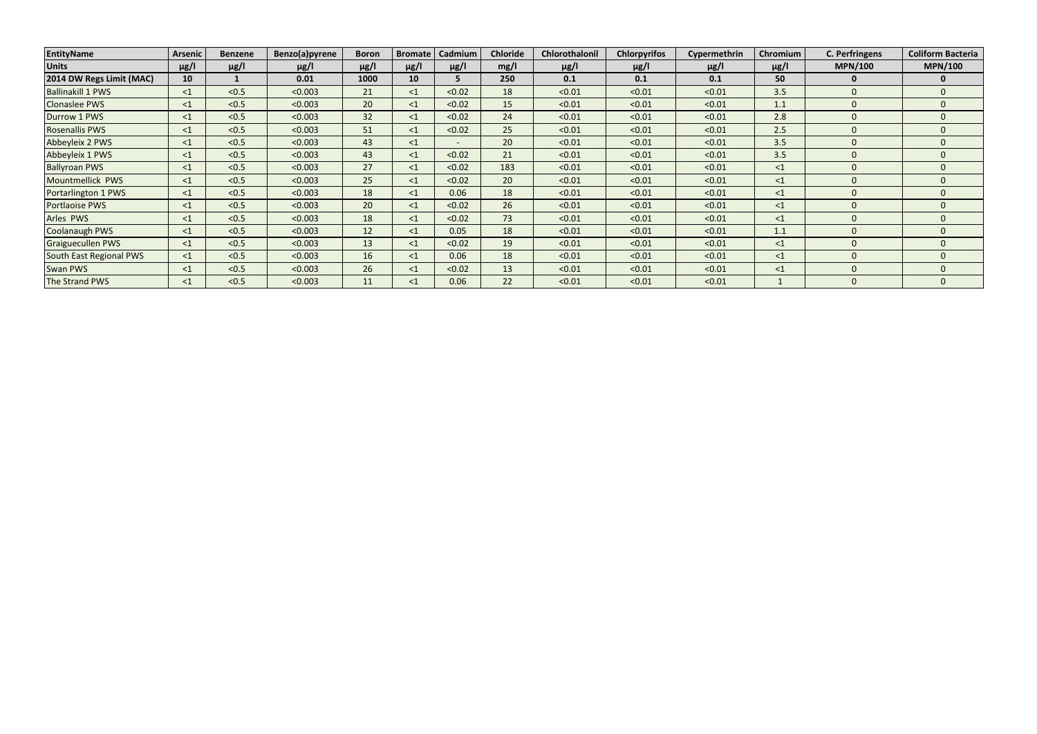| EntityName               | <b>Arsenic</b> | <b>Benzene</b> | Benzo(a)pyrene | <b>Boron</b> | <b>Bromate</b> | Cadmium   | <b>Chloride</b> | Chlorothalonil | <b>Chlorpyrifos</b> | Cypermethrin | Chromium  | <b>C. Perfringens</b> | <b>Coliform Bacteria</b> |
|--------------------------|----------------|----------------|----------------|--------------|----------------|-----------|-----------------|----------------|---------------------|--------------|-----------|-----------------------|--------------------------|
| <b>Units</b>             | $\mu$ g/l      | $\mu$ g/l      | $\mu$ g/l      | $\mu$ g/l    | $\mu$ g/l      | $\mu$ g/l | mg/l            | $\mu$ g/l      | $\mu$ g/l           | $\mu$ g/l    | $\mu$ g/l | <b>MPN/100</b>        | <b>MPN/100</b>           |
| 2014 DW Regs Limit (MAC) | 10             |                | 0.01           | 1000         | 10             |           | 250             | 0.1            | 0.1                 | 0.1          | 50        |                       | $\Omega$                 |
| <b>Ballinakill 1 PWS</b> | $\leq$ 1       | < 0.5          | < 0.003        | 21           | $\leq$ 1       | < 0.02    | 18              | < 0.01         | < 0.01              | < 0.01       | 3.5       |                       | $\Omega$                 |
| <b>Clonaslee PWS</b>     | $\leq$ 1       | < 0.5          | < 0.003        | 20           | $\leq$ 1       | < 0.02    | 15              | < 0.01         | < 0.01              | < 0.01       | 1.1       |                       | $\Omega$                 |
| Durrow 1 PWS             | $\leq$ 1       | < 0.5          | < 0.003        | 32           | $\leq$ 1       | < 0.02    | 24              | < 0.01         | < 0.01              | < 0.01       | 2.8       |                       | $\Omega$                 |
| <b>Rosenallis PWS</b>    | $\leq 1$       | < 0.5          | < 0.003        | 51           | $\leq$ 1       | < 0.02    | 25              | < 0.01         | < 0.01              | < 0.01       | 2.5       |                       | $\Omega$                 |
| Abbeyleix 2 PWS          | $\leq 1$       | < 0.5          | < 0.003        | 43           | $\leq$ 1       | $\sim$    | 20              | < 0.01         | < 0.01              | < 0.01       | 3.5       |                       | $\Omega$                 |
| Abbeyleix 1 PWS          | $\leq 1$       | < 0.5          | < 0.003        | 43           | $\leq$ 1       | < 0.02    | 21              | < 0.01         | < 0.01              | < 0.01       | 3.5       | 0                     | $\Omega$                 |
| <b>Ballyroan PWS</b>     | $\leq 1$       | < 0.5          | < 0.003        | 27           | $\leq$ 1       | < 0.02    | 183             | < 0.01         | < 0.01              | < 0.01       | $\leq$ 1  |                       | $\Omega$                 |
| Mountmellick PWS         | $\leq$ 1       | < 0.5          | < 0.003        | 25           | $\leq$ 1       | < 0.02    | 20              | < 0.01         | < 0.01              | < 0.01       | $\leq$ 1  |                       | $\Omega$                 |
| Portarlington 1 PWS      | $\leq 1$       | < 0.5          | < 0.003        | 18           | $\leq$ 1       | 0.06      | 18              | < 0.01         | < 0.01              | < 0.01       | $\leq$ 1  |                       | $\Omega$                 |
| <b>Portlaoise PWS</b>    | $\leq$ 1       | < 0.5          | < 0.003        | 20           | $\leq$ 1       | < 0.02    | 26              | < 0.01         | < 0.01              | < 0.01       | $\leq$ 1  |                       | $\Omega$                 |
| Arles PWS                | $\leq$ 1       | < 0.5          | < 0.003        | 18           | $\leq$ 1       | < 0.02    | 73              | < 0.01         | < 0.01              | < 0.01       | $\leq$ 1  |                       | $\Omega$                 |
| Coolanaugh PWS           | $\leq$ 1       | < 0.5          | < 0.003        | 12           | $\leq$ 1       | 0.05      | 18              | < 0.01         | < 0.01              | < 0.01       | 1.1       |                       | $\Omega$                 |
| <b>Graiguecullen PWS</b> | $\leq 1$       | < 0.5          | < 0.003        | 13           | $\leq$ 1       | < 0.02    | 19              | < 0.01         | < 0.01              | < 0.01       | $\leq$ 1  |                       | $\Omega$                 |
| South East Regional PWS  | $\leq$ 1       | < 0.5          | < 0.003        | 16           | $\leq$ 1       | 0.06      | 18              | < 0.01         | < 0.01              | < 0.01       | $\leq$ 1  |                       | $\Omega$                 |
| <b>Swan PWS</b>          | $\leq 1$       | < 0.5          | < 0.003        | 26           | $<$ 1          | < 0.02    | 13              | < 0.01         | < 0.01              | < 0.01       | $\leq$ 1  |                       | $\Omega$                 |
| The Strand PWS           | $\leq 1$       | < 0.5          | < 0.003        | 11           | $<$ 1          | 0.06      | 22              | < 0.01         | < 0.01              | < 0.01       |           |                       | $\Omega$                 |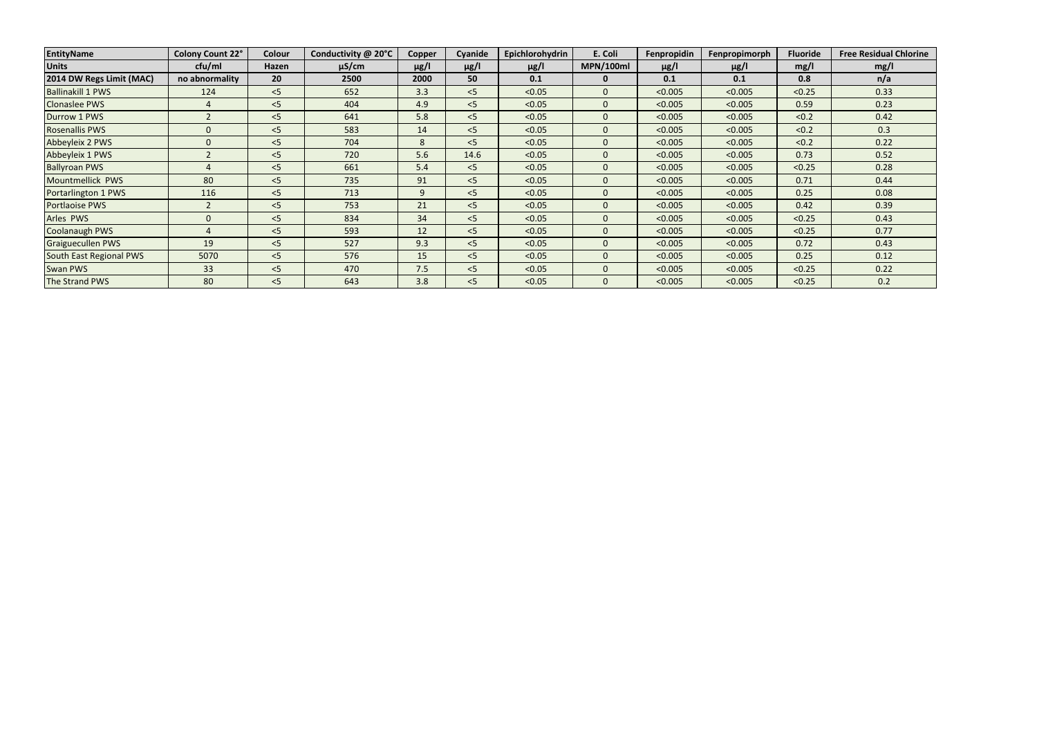| EntityName               | <b>Colony Count 22°</b> | Colour | Conductivity @ 20°C | <b>Copper</b> | Cyanide   | Epichlorohydrin | E. Coli          | Fenpropidin | Fenpropimorph | <b>Fluoride</b> | <b>Free Residual Chlorine</b> |
|--------------------------|-------------------------|--------|---------------------|---------------|-----------|-----------------|------------------|-------------|---------------|-----------------|-------------------------------|
| <b>Units</b>             | cfu/ml                  | Hazen  | $\mu$ S/cm          | $\mu$ g/l     | $\mu$ g/l | $\mu$ g/l       | <b>MPN/100ml</b> | $\mu$ g/l   | $\mu$ g/l     | mg/l            | mg/l                          |
| 2014 DW Regs Limit (MAC) | no abnormality          | 20     | 2500                | 2000          | 50        | 0.1             | 0                | 0.1         | 0.1           | 0.8             | n/a                           |
| <b>Ballinakill 1 PWS</b> | 124                     | < 5    | 652                 | 3.3           | $<$ 5     | < 0.05          |                  | < 0.005     | < 0.005       | < 0.25          | 0.33                          |
| <b>Clonaslee PWS</b>     | 4                       | < 5    | 404                 | 4.9           | < 5       | < 0.05          | 0                | < 0.005     | < 0.005       | 0.59            | 0.23                          |
| Durrow 1 PWS             |                         | < 5    | 641                 | 5.8           | < 5       | < 0.05          | 0                | < 0.005     | < 0.005       | < 0.2           | 0.42                          |
| <b>Rosenallis PWS</b>    | $\Omega$                | < 5    | 583                 | 14            | < 5       | < 0.05          | 0                | < 0.005     | < 0.005       | < 0.2           | 0.3                           |
| Abbeyleix 2 PWS          | $\Omega$                | < 5    | 704                 | 8             | < 5       | < 0.05          | 0                | < 0.005     | < 0.005       | < 0.2           | 0.22                          |
| Abbeyleix 1 PWS          |                         | $<$ 5  | 720                 | 5.6           | 14.6      | < 0.05          | 0                | < 0.005     | < 0.005       | 0.73            | 0.52                          |
| <b>Ballyroan PWS</b>     |                         | $<$ 5  | 661                 | 5.4           | < 5       | < 0.05          | 0                | < 0.005     | < 0.005       | < 0.25          | 0.28                          |
| Mountmellick PWS         | 80                      | < 5    | 735                 | 91            | < 5       | < 0.05          | 0                | < 0.005     | < 0.005       | 0.71            | 0.44                          |
| Portarlington 1 PWS      | 116                     | < 5    | 713                 | 9             | < 5       | < 0.05          |                  | < 0.005     | < 0.005       | 0.25            | 0.08                          |
| Portlaoise PWS           | $\mathcal{P}$           | < 5    | 753                 | 21            | $<$ 5     | < 0.05          |                  | < 0.005     | < 0.005       | 0.42            | 0.39                          |
| Arles PWS                | $\Omega$                | < 5    | 834                 | 34            | $<$ 5     | < 0.05          |                  | < 0.005     | < 0.005       | < 0.25          | 0.43                          |
| <b>Coolanaugh PWS</b>    |                         | < 5    | 593                 | 12            | < 5       | < 0.05          | 0                | < 0.005     | < 0.005       | < 0.25          | 0.77                          |
| <b>Graiguecullen PWS</b> | 19                      | < 5    | 527                 | 9.3           | $<$ 5     | < 0.05          | 0                | < 0.005     | < 0.005       | 0.72            | 0.43                          |
| South East Regional PWS  | 5070                    | < 5    | 576                 | 15            | < 5       | < 0.05          | 0                | < 0.005     | < 0.005       | 0.25            | 0.12                          |
| Swan PWS                 | 33                      | < 5    | 470                 | 7.5           | < 5       | < 0.05          | 0                | < 0.005     | < 0.005       | < 0.25          | 0.22                          |
| The Strand PWS           | 80                      | < 5    | 643                 | 3.8           | $<$ 5     | < 0.05          |                  | < 0.005     | < 0.005       | < 0.25          | 0.2                           |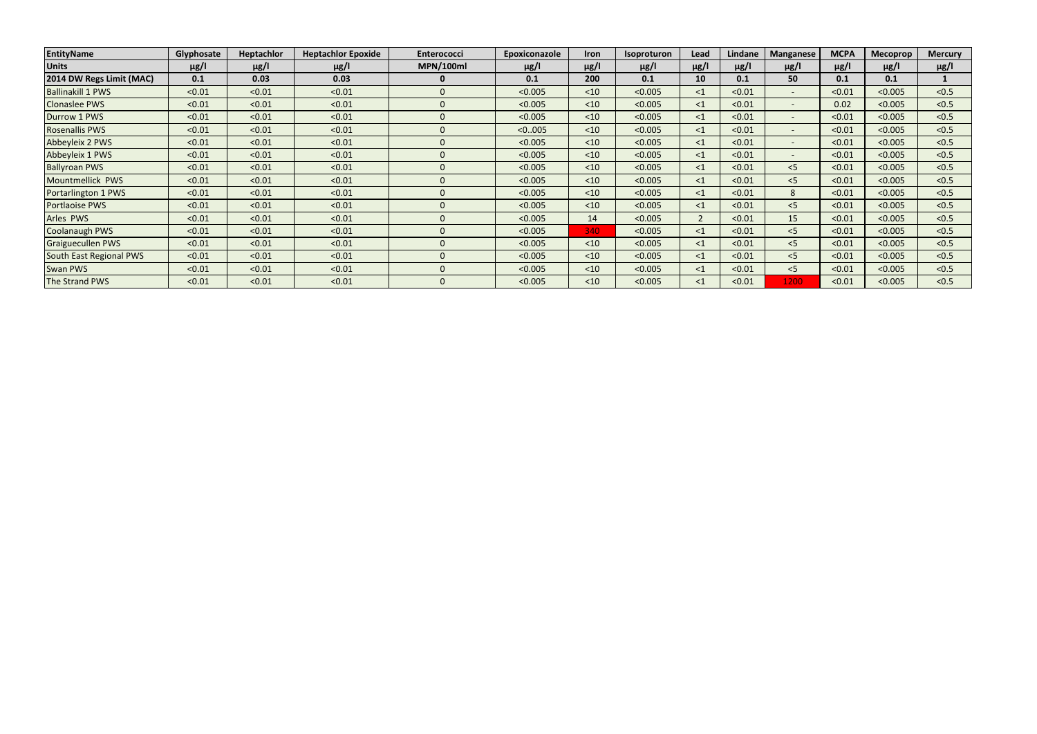| <b>EntityName</b>        | Glyphosate | <b>Heptachlor</b> | <b>Heptachlor Epoxide</b> | <b>Enterococci</b> | Epoxiconazole | <b>Iron</b> | <b>Isoproturon</b> | Lead      | Lindane   | <b>Manganese</b>         | <b>MCPA</b> | <b>Mecoprop</b> | <b>Mercury</b> |
|--------------------------|------------|-------------------|---------------------------|--------------------|---------------|-------------|--------------------|-----------|-----------|--------------------------|-------------|-----------------|----------------|
| <b>Units</b>             | $\mu$ g/l  | $\mu$ g/l         | $\mu$ g/l                 | <b>MPN/100ml</b>   | $\mu$ g/l     | $\mu$ g/l   | $\mu$ g/l          | $\mu$ g/l | $\mu$ g/l | $\mu$ g/l                | $\mu$ g/l   | $\mu$ g/l       | $\mu$ g/l      |
| 2014 DW Regs Limit (MAC) | 0.1        | 0.03              | 0.03                      | 0                  | 0.1           | 200         | 0.1                | 10        | 0.1       | 50                       | 0.1         | 0.1             |                |
| <b>Ballinakill 1 PWS</b> | < 0.01     | < 0.01            | < 0.01                    | $\Omega$           | < 0.005       | < 10        | < 0.005            | $\leq$ 1  | < 0.01    | $\overline{\phantom{a}}$ | < 0.01      | < 0.005         | < 0.5          |
| <b>Clonaslee PWS</b>     | < 0.01     | < 0.01            | < 0.01                    | $\Omega$           | < 0.005       | < 10        | < 0.005            | $\leq$ 1  | < 0.01    | $\overline{\phantom{a}}$ | 0.02        | < 0.005         | < 0.5          |
| Durrow 1 PWS             | < 0.01     | < 0.01            | < 0.01                    | $\Omega$           | < 0.005       | < 10        | < 0.005            | $\leq$ 1  | < 0.01    | $\sim$                   | < 0.01      | < 0.005         | < 0.5          |
| <b>Rosenallis PWS</b>    | < 0.01     | < 0.01            | < 0.01                    | $\Omega$           | < 0.005       | < 10        | < 0.005            | $\leq 1$  | < 0.01    | $\overline{\phantom{a}}$ | < 0.01      | < 0.005         | < 0.5          |
| Abbeyleix 2 PWS          | < 0.01     | < 0.01            | < 0.01                    | $\overline{0}$     | < 0.005       | < 10        | < 0.005            | $\leq$ 1  | < 0.01    | $\overline{\phantom{a}}$ | < 0.01      | < 0.005         | < 0.5          |
| Abbeyleix 1 PWS          | < 0.01     | < 0.01            | < 0.01                    | $\Omega$           | < 0.005       | < 10        | < 0.005            | $\leq$ 1  | < 0.01    | $\overline{\phantom{a}}$ | < 0.01      | < 0.005         | < 0.5          |
| <b>Ballyroan PWS</b>     | < 0.01     | < 0.01            | < 0.01                    | $\Omega$           | < 0.005       | < 10        | < 0.005            | $\leq$ 1  | < 0.01    | < 5                      | < 0.01      | < 0.005         | < 0.5          |
| Mountmellick PWS         | < 0.01     | < 0.01            | < 0.01                    | $\Omega$           | < 0.005       | $10$        | < 0.005            | $\leq$ 1  | < 0.01    | $<$ 5                    | < 0.01      | < 0.005         | < 0.5          |
| Portarlington 1 PWS      | < 0.01     | < 0.01            | < 0.01                    | $\Omega$           | < 0.005       | $10$        | < 0.005            | $\leq$ 1  | < 0.01    | 8                        | < 0.01      | < 0.005         | < 0.5          |
| Portlaoise PWS           | < 0.01     | < 0.01            | < 0.01                    | $\Omega$           | < 0.005       | < 10        | < 0.005            | $\leq$ 1  | < 0.01    | < 5                      | < 0.01      | < 0.005         | < 0.5          |
| Arles PWS                | < 0.01     | < 0.01            | < 0.01                    | $\Omega$           | < 0.005       | 14          | < 0.005            |           | < 0.01    | 15                       | < 0.01      | < 0.005         | < 0.5          |
| Coolanaugh PWS           | < 0.01     | < 0.01            | < 0.01                    | $\Omega$           | < 0.005       | 340         | < 0.005            | $\leq$ 1  | < 0.01    | < 5                      | < 0.01      | < 0.005         | < 0.5          |
| <b>Graiguecullen PWS</b> | < 0.01     | < 0.01            | < 0.01                    | $\Omega$           | < 0.005       | $10$        | < 0.005            | $\leq 1$  | < 0.01    | < 5                      | < 0.01      | < 0.005         | < 0.5          |
| South East Regional PWS  | < 0.01     | < 0.01            | < 0.01                    | $\Omega$           | < 0.005       | < 10        | < 0.005            | $\leq$ 1  | < 0.01    | < 5                      | < 0.01      | < 0.005         | < 0.5          |
| <b>Swan PWS</b>          | < 0.01     | < 0.01            | < 0.01                    | $\Omega$           | < 0.005       | < 10        | < 0.005            | $\leq 1$  | < 0.01    | $<$ 5                    | < 0.01      | < 0.005         | < 0.5          |
| The Strand PWS           | < 0.01     | < 0.01            | < 0.01                    | $\Omega$           | < 0.005       | < 10        | < 0.005            | $\leq$ 1  | < 0.01    | 1200                     | < 0.01      | < 0.005         | < 0.5          |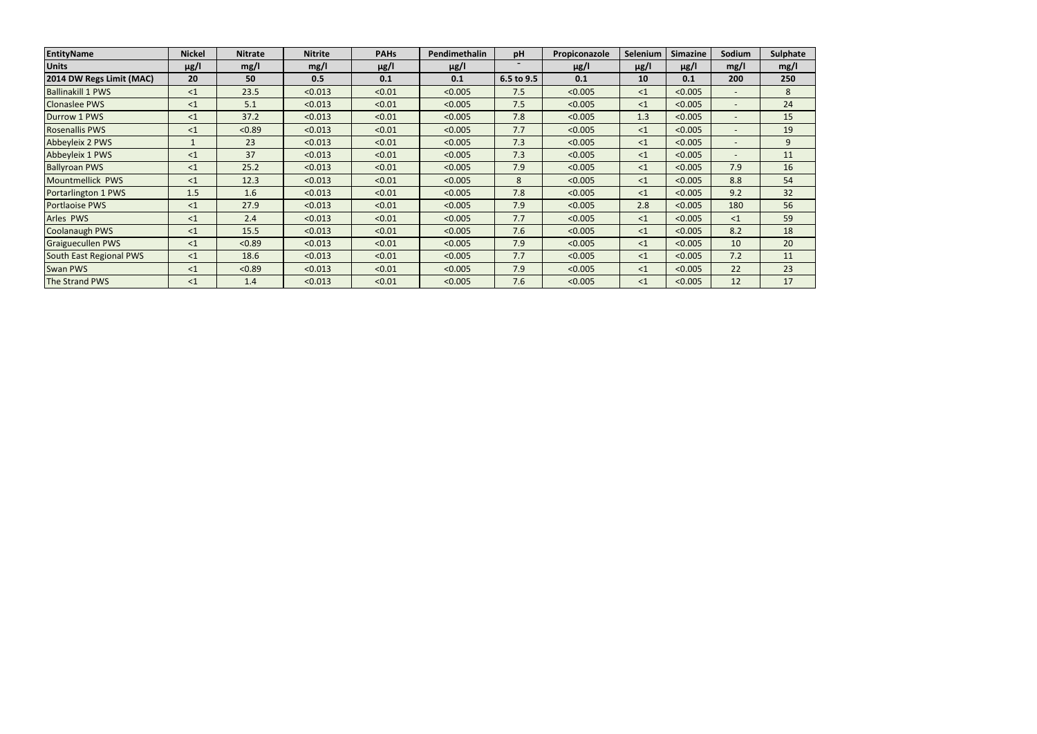| EntityName               | <b>Nickel</b> | <b>Nitrate</b> | <b>Nitrite</b> | <b>PAHs</b> | Pendimethalin | pH         | Propiconazole | Selenium  | <b>Simazine</b> | Sodium                   | Sulphate |
|--------------------------|---------------|----------------|----------------|-------------|---------------|------------|---------------|-----------|-----------------|--------------------------|----------|
| <b>Units</b>             | $\mu$ g/l     | mg/l           | mg/l           | $\mu$ g/l   | $\mu$ g/l     |            | $\mu$ g/l     | $\mu$ g/l | $\mu$ g/l       | mg/l                     | mg/l     |
| 2014 DW Regs Limit (MAC) | 20            | 50             | 0.5            | 0.1         | 0.1           | 6.5 to 9.5 | 0.1           | 10        | 0.1             | 200                      | 250      |
| <b>Ballinakill 1 PWS</b> | <1            | 23.5           | < 0.013        | < 0.01      | < 0.005       | 7.5        | < 0.005       | $\leq$ 1  | < 0.005         | $\qquad \qquad -$        | 8        |
| <b>Clonaslee PWS</b>     | $\leq$ 1      | 5.1            | < 0.013        | < 0.01      | < 0.005       | 7.5        | < 0.005       | $\leq$ 1  | < 0.005         |                          | 24       |
| Durrow 1 PWS             | $\leq$ 1      | 37.2           | < 0.013        | < 0.01      | < 0.005       | 7.8        | < 0.005       | 1.3       | < 0.005         | $\overline{\phantom{0}}$ | 15       |
| <b>Rosenallis PWS</b>    | <1            | < 0.89         | < 0.013        | < 0.01      | < 0.005       | 7.7        | < 0.005       | $\leq$ 1  | < 0.005         | $\overline{\phantom{0}}$ | 19       |
| Abbeyleix 2 PWS          | $\mathbf{1}$  | 23             | < 0.013        | < 0.01      | < 0.005       | 7.3        | < 0.005       | $\leq$ 1  | < 0.005         | $\overline{\phantom{a}}$ | 9        |
| Abbeyleix 1 PWS          | $\leq$ 1      | 37             | < 0.013        | < 0.01      | < 0.005       | 7.3        | < 0.005       | $\leq$ 1  | < 0.005         |                          | 11       |
| <b>Ballyroan PWS</b>     | $\leq$ 1      | 25.2           | < 0.013        | < 0.01      | < 0.005       | 7.9        | < 0.005       | <1        | < 0.005         | 7.9                      | 16       |
| Mountmellick PWS         | $\leq$ 1      | 12.3           | < 0.013        | < 0.01      | < 0.005       | 8          | < 0.005       | $\leq$ 1  | < 0.005         | 8.8                      | 54       |
| Portarlington 1 PWS      | 1.5           | 1.6            | < 0.013        | < 0.01      | < 0.005       | 7.8        | < 0.005       | $\leq$ 1  | < 0.005         | 9.2                      | 32       |
| <b>Portlaoise PWS</b>    | $\leq$ 1      | 27.9           | < 0.013        | < 0.01      | < 0.005       | 7.9        | < 0.005       | 2.8       | < 0.005         | 180                      | 56       |
| Arles PWS                | $\leq$ 1      | 2.4            | < 0.013        | < 0.01      | < 0.005       | 7.7        | < 0.005       | $\leq$ 1  | < 0.005         | $\leq$ 1                 | 59       |
| <b>Coolanaugh PWS</b>    | $\leq$ 1      | 15.5           | < 0.013        | < 0.01      | < 0.005       | 7.6        | < 0.005       | $\leq$ 1  | < 0.005         | 8.2                      | 18       |
| <b>Graiguecullen PWS</b> | <1            | < 0.89         | < 0.013        | < 0.01      | < 0.005       | 7.9        | < 0.005       | $\leq$ 1  | < 0.005         | 10                       | 20       |
| South East Regional PWS  | $\leq$ 1      | 18.6           | < 0.013        | < 0.01      | < 0.005       | 7.7        | < 0.005       | $\leq$ 1  | < 0.005         | 7.2                      | 11       |
| <b>Swan PWS</b>          | $\leq$ 1      | < 0.89         | < 0.013        | < 0.01      | < 0.005       | 7.9        | < 0.005       | <1        | < 0.005         | 22                       | 23       |
| The Strand PWS           | <1            | 1.4            | < 0.013        | < 0.01      | < 0.005       | 7.6        | < 0.005       | <1        | < 0.005         | 12                       | 17       |